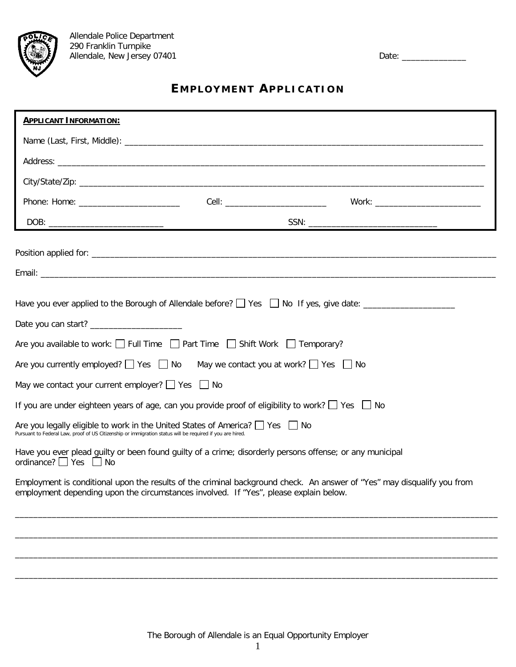## **E MPLOYMENT APPLICATION**

| <b>APPLICANT INFORMATION:</b>                                                                                                                                                                                    |                                                                                                          |                                                                                                                                                                                                                                                                                                                                                                                                                                                                                                                                                                                                                                  |
|------------------------------------------------------------------------------------------------------------------------------------------------------------------------------------------------------------------|----------------------------------------------------------------------------------------------------------|----------------------------------------------------------------------------------------------------------------------------------------------------------------------------------------------------------------------------------------------------------------------------------------------------------------------------------------------------------------------------------------------------------------------------------------------------------------------------------------------------------------------------------------------------------------------------------------------------------------------------------|
|                                                                                                                                                                                                                  |                                                                                                          |                                                                                                                                                                                                                                                                                                                                                                                                                                                                                                                                                                                                                                  |
|                                                                                                                                                                                                                  |                                                                                                          |                                                                                                                                                                                                                                                                                                                                                                                                                                                                                                                                                                                                                                  |
|                                                                                                                                                                                                                  |                                                                                                          |                                                                                                                                                                                                                                                                                                                                                                                                                                                                                                                                                                                                                                  |
|                                                                                                                                                                                                                  |                                                                                                          |                                                                                                                                                                                                                                                                                                                                                                                                                                                                                                                                                                                                                                  |
|                                                                                                                                                                                                                  |                                                                                                          | $SSN: \underline{\hspace{2cm}} \underline{\hspace{2cm}} \underline{\hspace{2cm}} \underline{\hspace{2cm}} \underline{\hspace{2cm}} \underline{\hspace{2cm}} \underline{\hspace{2cm}} \underline{\hspace{2cm}} \underline{\hspace{2cm}} \underline{\hspace{2cm}} \underline{\hspace{2cm}} \underline{\hspace{2cm}} \underline{\hspace{2cm}} \underline{\hspace{2cm}} \underline{\hspace{2cm}} \underline{\hspace{2cm}} \underline{\hspace{2cm}} \underline{\hspace{2cm}} \underline{\hspace{2cm}} \underline{\hspace{2cm}} \underline{\hspace{2cm}} \underline{\hspace{2cm}} \underline{\hspace{2cm}} \underline{\hspace{2cm}} \$ |
|                                                                                                                                                                                                                  |                                                                                                          |                                                                                                                                                                                                                                                                                                                                                                                                                                                                                                                                                                                                                                  |
|                                                                                                                                                                                                                  |                                                                                                          |                                                                                                                                                                                                                                                                                                                                                                                                                                                                                                                                                                                                                                  |
|                                                                                                                                                                                                                  |                                                                                                          |                                                                                                                                                                                                                                                                                                                                                                                                                                                                                                                                                                                                                                  |
|                                                                                                                                                                                                                  |                                                                                                          |                                                                                                                                                                                                                                                                                                                                                                                                                                                                                                                                                                                                                                  |
|                                                                                                                                                                                                                  | Are you available to work: $\Box$ Full Time $\Box$ Part Time $\Box$ Shift Work $\Box$ Temporary?         |                                                                                                                                                                                                                                                                                                                                                                                                                                                                                                                                                                                                                                  |
| Are you currently employed? $\Box$ Yes $\Box$ No May we contact you at work? $\Box$ Yes $\Box$ No                                                                                                                |                                                                                                          |                                                                                                                                                                                                                                                                                                                                                                                                                                                                                                                                                                                                                                  |
| May we contact your current employer? $\Box$ Yes $\Box$ No                                                                                                                                                       |                                                                                                          |                                                                                                                                                                                                                                                                                                                                                                                                                                                                                                                                                                                                                                  |
| If you are under eighteen years of age, can you provide proof of eligibility to work? $\Box$ Yes $\Box$ No                                                                                                       |                                                                                                          |                                                                                                                                                                                                                                                                                                                                                                                                                                                                                                                                                                                                                                  |
| Pursuant to Federal Law, proof of US Citizenship or immigration status will be required if you are hired.                                                                                                        | Are you legally eligible to work in the United States of America? Simus Pies State                       |                                                                                                                                                                                                                                                                                                                                                                                                                                                                                                                                                                                                                                  |
| ordinance? $\Box$ Yes $\Box$ No                                                                                                                                                                                  | Have you ever plead guilty or been found guilty of a crime; disorderly persons offense; or any municipal |                                                                                                                                                                                                                                                                                                                                                                                                                                                                                                                                                                                                                                  |
| Employment is conditional upon the results of the criminal background check. An answer of "Yes" may disqualify you from<br>employment depending upon the circumstances involved. If "Yes", please explain below. |                                                                                                          |                                                                                                                                                                                                                                                                                                                                                                                                                                                                                                                                                                                                                                  |
|                                                                                                                                                                                                                  |                                                                                                          |                                                                                                                                                                                                                                                                                                                                                                                                                                                                                                                                                                                                                                  |
|                                                                                                                                                                                                                  |                                                                                                          |                                                                                                                                                                                                                                                                                                                                                                                                                                                                                                                                                                                                                                  |
|                                                                                                                                                                                                                  |                                                                                                          |                                                                                                                                                                                                                                                                                                                                                                                                                                                                                                                                                                                                                                  |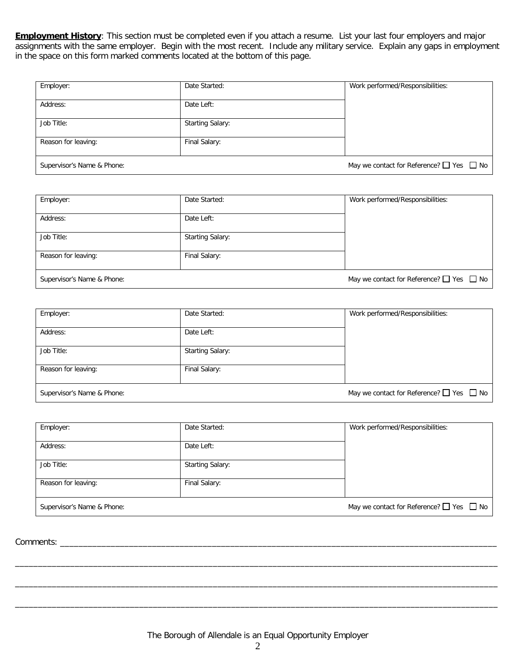**Employment History**: This section must be completed even if you attach a resume. List your last four employers and major assignments with the same employer. Begin with the most recent. Include any military service. Explain any gaps in employment in the space on this form marked comments located at the bottom of this page.

| Employer:                  | Date Started:           | Work performed/Responsibilities:                   |
|----------------------------|-------------------------|----------------------------------------------------|
|                            |                         |                                                    |
| Address:                   | Date Left:              |                                                    |
|                            |                         |                                                    |
|                            |                         |                                                    |
| Job Title:                 | <b>Starting Salary:</b> |                                                    |
|                            |                         |                                                    |
| Reason for leaving:        | Final Salary:           |                                                    |
|                            |                         |                                                    |
| Supervisor's Name & Phone: |                         | May we contact for Reference? $\Box$ Yes $\Box$ No |
|                            |                         |                                                    |

| Employer:                  | Date Started:           | Work performed/Responsibilities:                   |
|----------------------------|-------------------------|----------------------------------------------------|
| Address:                   | Date Left:              |                                                    |
| Job Title:                 | <b>Starting Salary:</b> |                                                    |
| Reason for leaving:        | Final Salary:           |                                                    |
| Supervisor's Name & Phone: |                         | May we contact for Reference? $\Box$ Yes $\Box$ No |

| Employer:                  | Date Started:           | Work performed/Responsibilities:                   |
|----------------------------|-------------------------|----------------------------------------------------|
| Address:                   | Date Left:              |                                                    |
| Job Title:                 | <b>Starting Salary:</b> |                                                    |
| Reason for leaving:        | Final Salary:           |                                                    |
| Supervisor's Name & Phone: |                         | May we contact for Reference? $\Box$ Yes $\Box$ No |

| Employer:                  | Date Started:           | Work performed/Responsibilities:                   |
|----------------------------|-------------------------|----------------------------------------------------|
| Address:                   | Date Left:              |                                                    |
| Job Title:                 | <b>Starting Salary:</b> |                                                    |
| Reason for leaving:        | Final Salary:           |                                                    |
| Supervisor's Name & Phone: |                         | May we contact for Reference? $\Box$ Yes $\Box$ No |

Comments: \_\_\_\_\_\_\_\_\_\_\_\_\_\_\_\_\_\_\_\_\_\_\_\_\_\_\_\_\_\_\_\_\_\_\_\_\_\_\_\_\_\_\_\_\_\_\_\_\_\_\_\_\_\_\_\_\_\_\_\_\_\_\_\_\_\_\_\_\_\_\_\_\_\_\_\_\_\_\_\_\_\_\_\_\_\_\_\_\_\_\_\_\_\_\_

\_\_\_\_\_\_\_\_\_\_\_\_\_\_\_\_\_\_\_\_\_\_\_\_\_\_\_\_\_\_\_\_\_\_\_\_\_\_\_\_\_\_\_\_\_\_\_\_\_\_\_\_\_\_\_\_\_\_\_\_\_\_\_\_\_\_\_\_\_\_\_\_\_\_\_\_\_\_\_\_\_\_\_\_\_\_\_\_\_\_\_\_\_\_\_\_\_\_\_\_\_\_\_\_\_

\_\_\_\_\_\_\_\_\_\_\_\_\_\_\_\_\_\_\_\_\_\_\_\_\_\_\_\_\_\_\_\_\_\_\_\_\_\_\_\_\_\_\_\_\_\_\_\_\_\_\_\_\_\_\_\_\_\_\_\_\_\_\_\_\_\_\_\_\_\_\_\_\_\_\_\_\_\_\_\_\_\_\_\_\_\_\_\_\_\_\_\_\_\_\_\_\_\_\_\_\_\_\_\_\_

\_\_\_\_\_\_\_\_\_\_\_\_\_\_\_\_\_\_\_\_\_\_\_\_\_\_\_\_\_\_\_\_\_\_\_\_\_\_\_\_\_\_\_\_\_\_\_\_\_\_\_\_\_\_\_\_\_\_\_\_\_\_\_\_\_\_\_\_\_\_\_\_\_\_\_\_\_\_\_\_\_\_\_\_\_\_\_\_\_\_\_\_\_\_\_\_\_\_\_\_\_\_\_\_\_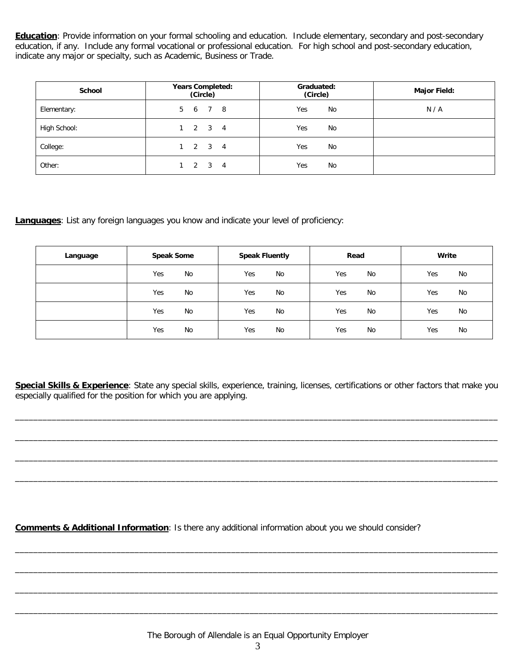**Education**: Provide information on your formal schooling and education. Include elementary, secondary and post-secondary education, if any. Include any formal vocational or professional education. For high school and post-secondary education, indicate any major or specialty, such as Academic, Business or Trade.

| <b>School</b> | <b>Years Completed:</b><br>(Circle) | Graduated:<br>(Circle) | <b>Major Field:</b> |
|---------------|-------------------------------------|------------------------|---------------------|
| Elementary:   | 5 6<br>7 8                          | Yes<br>No              | N/A                 |
| High School:  | $2 \quad 3 \quad 4$                 | Yes<br>No              |                     |
| College:      | $2 \quad 3 \quad 4$                 | Yes<br>No              |                     |
| Other:        | -4                                  | Yes<br>No              |                     |

## **Languages**: List any foreign languages you know and indicate your level of proficiency:

| Language | <b>Speak Some</b> | <b>Speak Fluently</b> | Read      | Write |
|----------|-------------------|-----------------------|-----------|-------|
|          | Yes               | Yes                   | No        | Yes   |
|          | No                | No                    | Yes       | No    |
|          | Yes               | Yes                   | <b>No</b> | Yes   |
|          | No                | No                    | Yes       | No    |
|          | Yes               | Yes                   | Yes       | Yes   |
|          | No                | No                    | No        | No    |
|          | Yes               | Yes                   | Yes       | Yes   |
|          | No                | No                    | <b>No</b> | No    |

**Special Skills & Experience**: State any special skills, experience, training, licenses, certifications or other factors that make you especially qualified for the position for which you are applying.

\_\_\_\_\_\_\_\_\_\_\_\_\_\_\_\_\_\_\_\_\_\_\_\_\_\_\_\_\_\_\_\_\_\_\_\_\_\_\_\_\_\_\_\_\_\_\_\_\_\_\_\_\_\_\_\_\_\_\_\_\_\_\_\_\_\_\_\_\_\_\_\_\_\_\_\_\_\_\_\_\_\_\_\_\_\_\_\_\_\_\_\_\_\_\_\_\_\_\_\_\_\_\_\_\_

\_\_\_\_\_\_\_\_\_\_\_\_\_\_\_\_\_\_\_\_\_\_\_\_\_\_\_\_\_\_\_\_\_\_\_\_\_\_\_\_\_\_\_\_\_\_\_\_\_\_\_\_\_\_\_\_\_\_\_\_\_\_\_\_\_\_\_\_\_\_\_\_\_\_\_\_\_\_\_\_\_\_\_\_\_\_\_\_\_\_\_\_\_\_\_\_\_\_\_\_\_\_\_\_\_

\_\_\_\_\_\_\_\_\_\_\_\_\_\_\_\_\_\_\_\_\_\_\_\_\_\_\_\_\_\_\_\_\_\_\_\_\_\_\_\_\_\_\_\_\_\_\_\_\_\_\_\_\_\_\_\_\_\_\_\_\_\_\_\_\_\_\_\_\_\_\_\_\_\_\_\_\_\_\_\_\_\_\_\_\_\_\_\_\_\_\_\_\_\_\_\_\_\_\_\_\_\_\_\_\_

\_\_\_\_\_\_\_\_\_\_\_\_\_\_\_\_\_\_\_\_\_\_\_\_\_\_\_\_\_\_\_\_\_\_\_\_\_\_\_\_\_\_\_\_\_\_\_\_\_\_\_\_\_\_\_\_\_\_\_\_\_\_\_\_\_\_\_\_\_\_\_\_\_\_\_\_\_\_\_\_\_\_\_\_\_\_\_\_\_\_\_\_\_\_\_\_\_\_\_\_\_\_\_\_\_

\_\_\_\_\_\_\_\_\_\_\_\_\_\_\_\_\_\_\_\_\_\_\_\_\_\_\_\_\_\_\_\_\_\_\_\_\_\_\_\_\_\_\_\_\_\_\_\_\_\_\_\_\_\_\_\_\_\_\_\_\_\_\_\_\_\_\_\_\_\_\_\_\_\_\_\_\_\_\_\_\_\_\_\_\_\_\_\_\_\_\_\_\_\_\_\_\_\_\_\_\_\_\_\_\_

\_\_\_\_\_\_\_\_\_\_\_\_\_\_\_\_\_\_\_\_\_\_\_\_\_\_\_\_\_\_\_\_\_\_\_\_\_\_\_\_\_\_\_\_\_\_\_\_\_\_\_\_\_\_\_\_\_\_\_\_\_\_\_\_\_\_\_\_\_\_\_\_\_\_\_\_\_\_\_\_\_\_\_\_\_\_\_\_\_\_\_\_\_\_\_\_\_\_\_\_\_\_\_\_\_

\_\_\_\_\_\_\_\_\_\_\_\_\_\_\_\_\_\_\_\_\_\_\_\_\_\_\_\_\_\_\_\_\_\_\_\_\_\_\_\_\_\_\_\_\_\_\_\_\_\_\_\_\_\_\_\_\_\_\_\_\_\_\_\_\_\_\_\_\_\_\_\_\_\_\_\_\_\_\_\_\_\_\_\_\_\_\_\_\_\_\_\_\_\_\_\_\_\_\_\_\_\_\_\_\_

\_\_\_\_\_\_\_\_\_\_\_\_\_\_\_\_\_\_\_\_\_\_\_\_\_\_\_\_\_\_\_\_\_\_\_\_\_\_\_\_\_\_\_\_\_\_\_\_\_\_\_\_\_\_\_\_\_\_\_\_\_\_\_\_\_\_\_\_\_\_\_\_\_\_\_\_\_\_\_\_\_\_\_\_\_\_\_\_\_\_\_\_\_\_\_\_\_\_\_\_\_\_\_\_\_

**Comments & Additional Information**: Is there any additional information about you we should consider?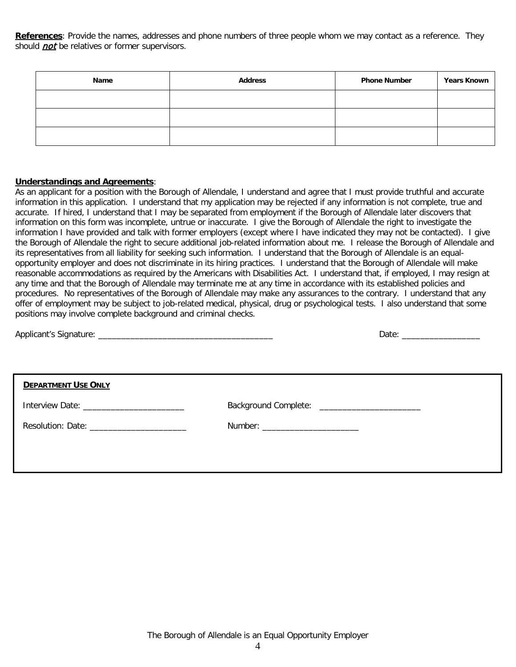**References**: Provide the names, addresses and phone numbers of three people whom we may contact as a reference. They should *not* be relatives or former supervisors.

| Name | <b>Address</b> | <b>Phone Number</b> | <b>Years Known</b> |
|------|----------------|---------------------|--------------------|
|      |                |                     |                    |
|      |                |                     |                    |
|      |                |                     |                    |

## **Understandings and Agreements**:

As an applicant for a position with the Borough of Allendale, I understand and agree that I must provide truthful and accurate information in this application. I understand that my application may be rejected if any information is not complete, true and accurate. If hired, I understand that I may be separated from employment if the Borough of Allendale later discovers that information on this form was incomplete, untrue or inaccurate. I give the Borough of Allendale the right to investigate the information I have provided and talk with former employers (except where I have indicated they may not be contacted). I give the Borough of Allendale the right to secure additional job-related information about me. I release the Borough of Allendale and its representatives from all liability for seeking such information. I understand that the Borough of Allendale is an equalopportunity employer and does not discriminate in its hiring practices. I understand that the Borough of Allendale will make reasonable accommodations as required by the Americans with Disabilities Act. I understand that, if employed, I may resign at any time and that the Borough of Allendale may terminate me at any time in accordance with its established policies and procedures. No representatives of the Borough of Allendale may make any assurances to the contrary. I understand that any offer of employment may be subject to job-related medical, physical, drug or psychological tests. I also understand that some positions may involve complete background and criminal checks.

| <b>DEPARTMENT USE ONLY</b> |                                   |
|----------------------------|-----------------------------------|
|                            |                                   |
|                            | Number: _________________________ |
|                            |                                   |
|                            |                                   |